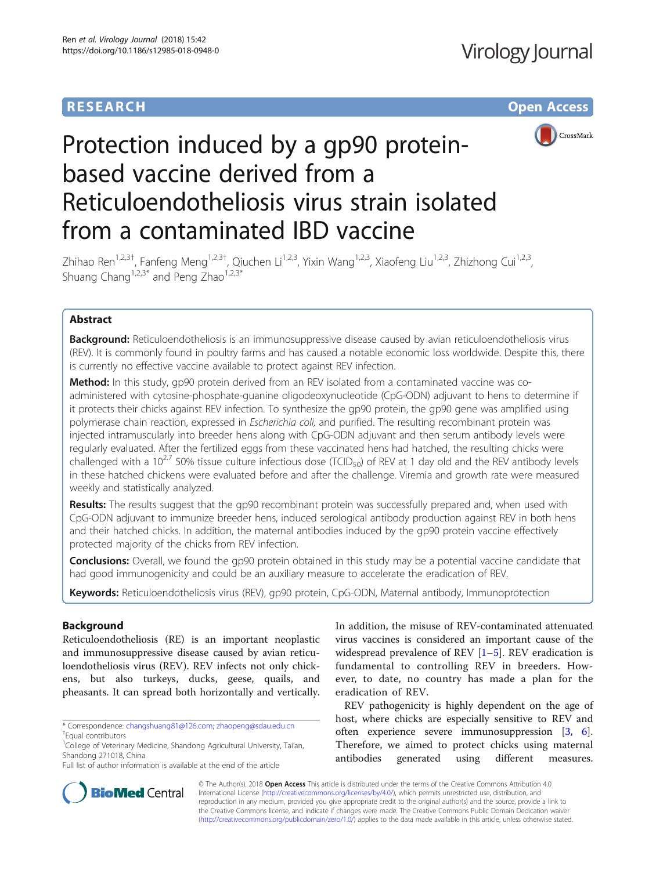# **RESEARCH CHE Open Access**



# Protection induced by a gp90 proteinbased vaccine derived from a Reticuloendotheliosis virus strain isolated from a contaminated IBD vaccine

Zhihao Ren<sup>1,2,3†</sup>, Fanfeng Meng<sup>1,2,3†</sup>, Qiuchen Li<sup>1,2,3</sup>, Yixin Wang<sup>1,2,3</sup>, Xiaofeng Liu<sup>1,2,3</sup>, Zhizhong Cui<sup>1,2,3</sup>, Shuang Chang<sup>1,2,3\*</sup> and Peng Zhao<sup>1,2,3\*</sup>

# Abstract

**Background:** Reticuloendotheliosis is an immunosuppressive disease caused by avian reticuloendotheliosis virus (REV). It is commonly found in poultry farms and has caused a notable economic loss worldwide. Despite this, there is currently no effective vaccine available to protect against REV infection.

Method: In this study, gp90 protein derived from an REV isolated from a contaminated vaccine was coadministered with cytosine-phosphate-guanine oligodeoxynucleotide (CpG-ODN) adjuvant to hens to determine if it protects their chicks against REV infection. To synthesize the gp90 protein, the gp90 gene was amplified using polymerase chain reaction, expressed in Escherichia coli, and purified. The resulting recombinant protein was injected intramuscularly into breeder hens along with CpG-ODN adjuvant and then serum antibody levels were regularly evaluated. After the fertilized eggs from these vaccinated hens had hatched, the resulting chicks were challenged with a 10<sup>2.7</sup> 50% tissue culture infectious dose (TCID<sub>50</sub>) of REV at 1 day old and the REV antibody levels in these hatched chickens were evaluated before and after the challenge. Viremia and growth rate were measured weekly and statistically analyzed.

Results: The results suggest that the gp90 recombinant protein was successfully prepared and, when used with CpG-ODN adjuvant to immunize breeder hens, induced serological antibody production against REV in both hens and their hatched chicks. In addition, the maternal antibodies induced by the gp90 protein vaccine effectively protected majority of the chicks from REV infection.

**Conclusions:** Overall, we found the gp90 protein obtained in this study may be a potential vaccine candidate that had good immunogenicity and could be an auxiliary measure to accelerate the eradication of REV.

Keywords: Reticuloendotheliosis virus (REV), qp90 protein, CpG-ODN, Maternal antibody, Immunoprotection

# Background

Reticuloendotheliosis (RE) is an important neoplastic and immunosuppressive disease caused by avian reticuloendotheliosis virus (REV). REV infects not only chickens, but also turkeys, ducks, geese, quails, and pheasants. It can spread both horizontally and vertically.

In addition, the misuse of REV-contaminated attenuated virus vaccines is considered an important cause of the widespread prevalence of REV  $[1-5]$  $[1-5]$  $[1-5]$ . REV eradication is fundamental to controlling REV in breeders. However, to date, no country has made a plan for the eradication of REV.

REV pathogenicity is highly dependent on the age of host, where chicks are especially sensitive to REV and often experience severe immunosuppression [\[3](#page-4-0), [6](#page-5-0)]. Therefore, we aimed to protect chicks using maternal antibodies generated using different measures.



© The Author(s). 2018 Open Access This article is distributed under the terms of the Creative Commons Attribution 4.0 International License [\(http://creativecommons.org/licenses/by/4.0/](http://creativecommons.org/licenses/by/4.0/)), which permits unrestricted use, distribution, and reproduction in any medium, provided you give appropriate credit to the original author(s) and the source, provide a link to the Creative Commons license, and indicate if changes were made. The Creative Commons Public Domain Dedication waiver [\(http://creativecommons.org/publicdomain/zero/1.0/](http://creativecommons.org/publicdomain/zero/1.0/)) applies to the data made available in this article, unless otherwise stated.

<sup>\*</sup> Correspondence: [changshuang81@126.com](mailto:changshuang81@126.com); [zhaopeng@sdau.edu.cn](mailto:zhaopeng@sdau.edu.cn) †

Equal contributors

<sup>&</sup>lt;sup>1</sup>College of Veterinary Medicine, Shandong Agricultural University, Tai'an, Shandong 271018, China

Full list of author information is available at the end of the article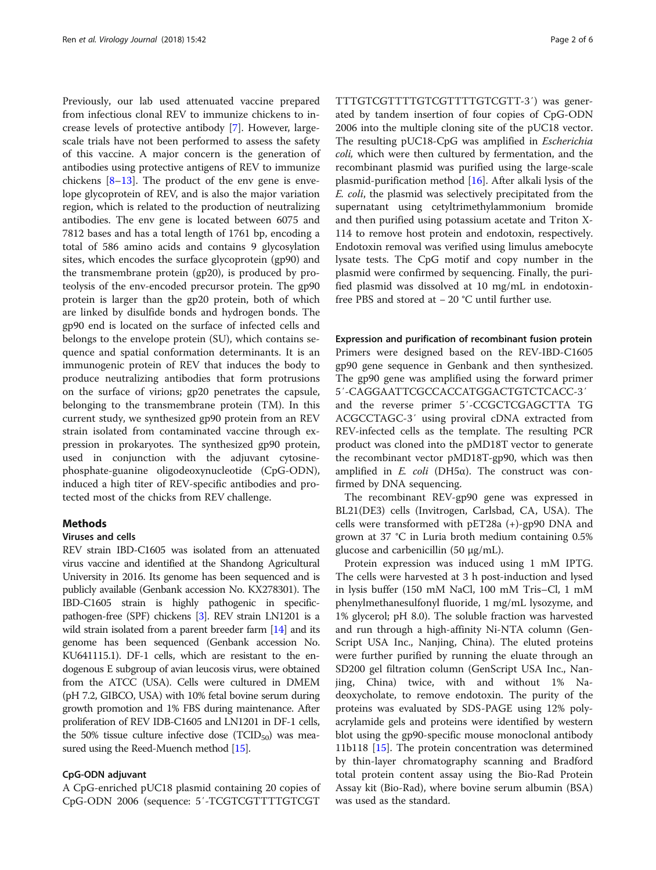Previously, our lab used attenuated vaccine prepared from infectious clonal REV to immunize chickens to increase levels of protective antibody [\[7](#page-5-0)]. However, largescale trials have not been performed to assess the safety of this vaccine. A major concern is the generation of antibodies using protective antigens of REV to immunize chickens  $[8-13]$  $[8-13]$  $[8-13]$ . The product of the env gene is envelope glycoprotein of REV, and is also the major variation region, which is related to the production of neutralizing antibodies. The env gene is located between 6075 and 7812 bases and has a total length of 1761 bp, encoding a total of 586 amino acids and contains 9 glycosylation sites, which encodes the surface glycoprotein (gp90) and the transmembrane protein (gp20), is produced by proteolysis of the env-encoded precursor protein. The gp90 protein is larger than the gp20 protein, both of which are linked by disulfide bonds and hydrogen bonds. The gp90 end is located on the surface of infected cells and belongs to the envelope protein (SU), which contains sequence and spatial conformation determinants. It is an immunogenic protein of REV that induces the body to produce neutralizing antibodies that form protrusions on the surface of virions; gp20 penetrates the capsule, belonging to the transmembrane protein (TM). In this current study, we synthesized gp90 protein from an REV strain isolated from contaminated vaccine through expression in prokaryotes. The synthesized gp90 protein, used in conjunction with the adjuvant cytosinephosphate-guanine oligodeoxynucleotide (CpG-ODN), induced a high titer of REV-specific antibodies and protected most of the chicks from REV challenge.

# Methods

## Viruses and cells

REV strain IBD-C1605 was isolated from an attenuated virus vaccine and identified at the Shandong Agricultural University in 2016. Its genome has been sequenced and is publicly available (Genbank accession No. KX278301). The IBD-C1605 strain is highly pathogenic in specificpathogen-free (SPF) chickens [\[3](#page-4-0)]. REV strain LN1201 is a wild strain isolated from a parent breeder farm [\[14\]](#page-5-0) and its genome has been sequenced (Genbank accession No. KU641115.1). DF-1 cells, which are resistant to the endogenous E subgroup of avian leucosis virus, were obtained from the ATCC (USA). Cells were cultured in DMEM (pH 7.2, GIBCO, USA) with 10% fetal bovine serum during growth promotion and 1% FBS during maintenance. After proliferation of REV IDB-C1605 and LN1201 in DF-1 cells, the 50% tissue culture infective dose (TCID<sub>50</sub>) was mea-sured using the Reed-Muench method [\[15\]](#page-5-0).

## CpG-ODN adjuvant

A CpG-enriched pUC18 plasmid containing 20 copies of CpG-ODN 2006 (sequence: 5′-TCGTCGTTTTGTCGT TTTGTCGTTTTGTCGTTTTGTCGTT-3′) was generated by tandem insertion of four copies of CpG-ODN 2006 into the multiple cloning site of the pUC18 vector. The resulting pUC18-CpG was amplified in Escherichia coli, which were then cultured by fermentation, and the recombinant plasmid was purified using the large-scale plasmid-purification method  $[16]$ . After alkali lysis of the E. coli, the plasmid was selectively precipitated from the supernatant using cetyltrimethylammonium bromide and then purified using potassium acetate and Triton X-114 to remove host protein and endotoxin, respectively. Endotoxin removal was verified using limulus amebocyte lysate tests. The CpG motif and copy number in the plasmid were confirmed by sequencing. Finally, the purified plasmid was dissolved at 10 mg/mL in endotoxinfree PBS and stored at − 20 °C until further use.

Expression and purification of recombinant fusion protein Primers were designed based on the REV-IBD-C1605 gp90 gene sequence in Genbank and then synthesized. The gp90 gene was amplified using the forward primer 5′-CAGGAATTCGCCACCATGGACTGTCTCACC-3′ and the reverse primer 5′-CCGCTCGAGCTTA TG ACGCCTAGC-3′ using proviral cDNA extracted from REV-infected cells as the template. The resulting PCR product was cloned into the pMD18T vector to generate the recombinant vector pMD18T-gp90, which was then amplified in *E. coli* (DH5α). The construct was confirmed by DNA sequencing.

The recombinant REV-gp90 gene was expressed in BL21(DE3) cells (Invitrogen, Carlsbad, CA, USA). The cells were transformed with pET28a (+)-gp90 DNA and grown at 37 °C in Luria broth medium containing 0.5% glucose and carbenicillin (50 μg/mL).

Protein expression was induced using 1 mM IPTG. The cells were harvested at 3 h post-induction and lysed in lysis buffer (150 mM NaCl, 100 mM Tris–Cl, 1 mM phenylmethanesulfonyl fluoride, 1 mg/mL lysozyme, and 1% glycerol; pH 8.0). The soluble fraction was harvested and run through a high-affinity Ni-NTA column (Gen-Script USA Inc., Nanjing, China). The eluted proteins were further purified by running the eluate through an SD200 gel filtration column (GenScript USA Inc., Nanjing, China) twice, with and without 1% Nadeoxycholate, to remove endotoxin. The purity of the proteins was evaluated by SDS-PAGE using 12% polyacrylamide gels and proteins were identified by western blot using the gp90-specific mouse monoclonal antibody 11b118 [\[15\]](#page-5-0). The protein concentration was determined by thin-layer chromatography scanning and Bradford total protein content assay using the Bio-Rad Protein Assay kit (Bio-Rad), where bovine serum albumin (BSA) was used as the standard.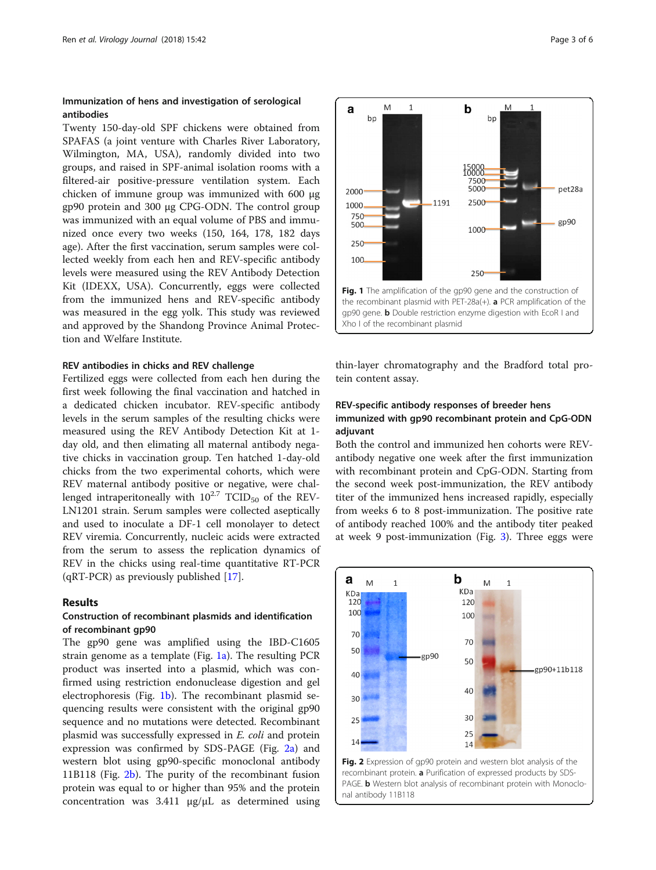# Immunization of hens and investigation of serological antibodies

Twenty 150-day-old SPF chickens were obtained from SPAFAS (a joint venture with Charles River Laboratory, Wilmington, MA, USA), randomly divided into two groups, and raised in SPF-animal isolation rooms with a filtered-air positive-pressure ventilation system. Each chicken of immune group was immunized with 600 μg gp90 protein and 300 μg CPG-ODN. The control group was immunized with an equal volume of PBS and immunized once every two weeks (150, 164, 178, 182 days age). After the first vaccination, serum samples were collected weekly from each hen and REV-specific antibody levels were measured using the REV Antibody Detection Kit (IDEXX, USA). Concurrently, eggs were collected from the immunized hens and REV-specific antibody was measured in the egg yolk. This study was reviewed and approved by the Shandong Province Animal Protection and Welfare Institute.

# REV antibodies in chicks and REV challenge

Fertilized eggs were collected from each hen during the first week following the final vaccination and hatched in a dedicated chicken incubator. REV-specific antibody levels in the serum samples of the resulting chicks were measured using the REV Antibody Detection Kit at 1 day old, and then elimating all maternal antibody negative chicks in vaccination group. Ten hatched 1-day-old chicks from the two experimental cohorts, which were REV maternal antibody positive or negative, were challenged intraperitoneally with  $10^{2.7}$  TCID<sub>50</sub> of the REV-LN1201 strain. Serum samples were collected aseptically and used to inoculate a DF-1 cell monolayer to detect REV viremia. Concurrently, nucleic acids were extracted from the serum to assess the replication dynamics of REV in the chicks using real-time quantitative RT-PCR  $(qRT-PCR)$  as previously published [\[17](#page-5-0)].

## Results

## Construction of recombinant plasmids and identification of recombinant gp90

The gp90 gene was amplified using the IBD-C1605 strain genome as a template (Fig. 1a). The resulting PCR product was inserted into a plasmid, which was confirmed using restriction endonuclease digestion and gel electrophoresis (Fig. 1b). The recombinant plasmid sequencing results were consistent with the original gp90 sequence and no mutations were detected. Recombinant plasmid was successfully expressed in E. coli and protein expression was confirmed by SDS-PAGE (Fig. 2a) and western blot using gp90-specific monoclonal antibody 11B118 (Fig. 2b). The purity of the recombinant fusion protein was equal to or higher than 95% and the protein concentration was 3.411 μg/μL as determined using



thin-layer chromatography and the Bradford total protein content assay.

# REV-specific antibody responses of breeder hens immunized with gp90 recombinant protein and CpG-ODN adjuvant

Both the control and immunized hen cohorts were REVantibody negative one week after the first immunization with recombinant protein and CpG-ODN. Starting from the second week post-immunization, the REV antibody titer of the immunized hens increased rapidly, especially from weeks 6 to 8 post-immunization. The positive rate of antibody reached 100% and the antibody titer peaked at week 9 post-immunization (Fig. [3](#page-3-0)). Three eggs were

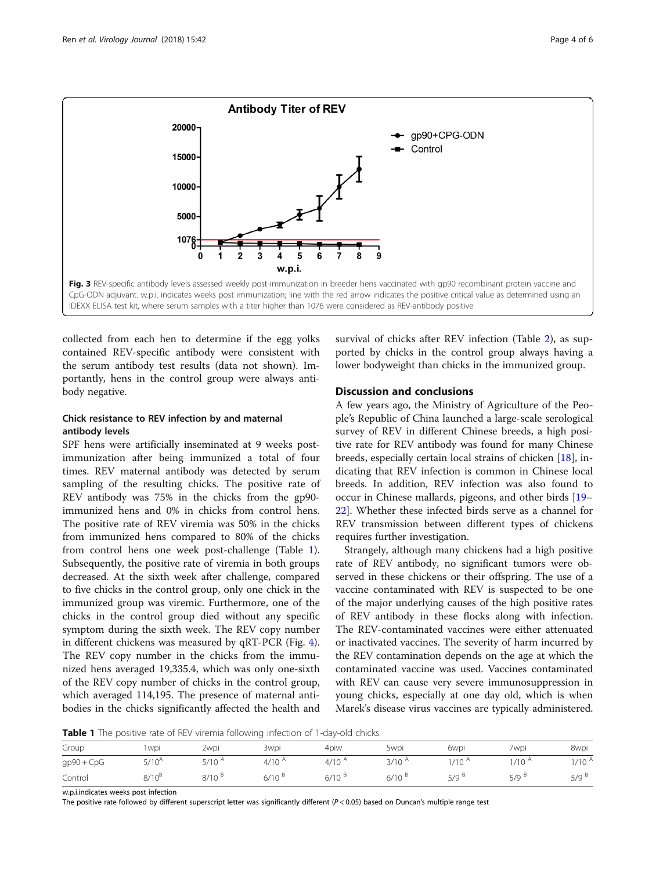<span id="page-3-0"></span>

collected from each hen to determine if the egg yolks contained REV-specific antibody were consistent with the serum antibody test results (data not shown). Importantly, hens in the control group were always antibody negative.

# Chick resistance to REV infection by and maternal antibody levels

SPF hens were artificially inseminated at 9 weeks postimmunization after being immunized a total of four times. REV maternal antibody was detected by serum sampling of the resulting chicks. The positive rate of REV antibody was 75% in the chicks from the gp90 immunized hens and 0% in chicks from control hens. The positive rate of REV viremia was 50% in the chicks from immunized hens compared to 80% of the chicks from control hens one week post-challenge (Table 1). Subsequently, the positive rate of viremia in both groups decreased. At the sixth week after challenge, compared to five chicks in the control group, only one chick in the immunized group was viremic. Furthermore, one of the chicks in the control group died without any specific symptom during the sixth week. The REV copy number in different chickens was measured by qRT-PCR (Fig. [4](#page-4-0)). The REV copy number in the chicks from the immunized hens averaged 19,335.4, which was only one-sixth of the REV copy number of chicks in the control group, which averaged 114,195. The presence of maternal antibodies in the chicks significantly affected the health and

survival of chicks after REV infection (Table [2](#page-4-0)), as supported by chicks in the control group always having a lower bodyweight than chicks in the immunized group.

# Discussion and conclusions

A few years ago, the Ministry of Agriculture of the People's Republic of China launched a large-scale serological survey of REV in different Chinese breeds, a high positive rate for REV antibody was found for many Chinese breeds, especially certain local strains of chicken [\[18\]](#page-5-0), indicating that REV infection is common in Chinese local breeds. In addition, REV infection was also found to occur in Chinese mallards, pigeons, and other birds [[19](#page-5-0)– [22\]](#page-5-0). Whether these infected birds serve as a channel for REV transmission between different types of chickens requires further investigation.

Strangely, although many chickens had a high positive rate of REV antibody, no significant tumors were observed in these chickens or their offspring. The use of a vaccine contaminated with REV is suspected to be one of the major underlying causes of the high positive rates of REV antibody in these flocks along with infection. The REV-contaminated vaccines were either attenuated or inactivated vaccines. The severity of harm incurred by the REV contamination depends on the age at which the contaminated vaccine was used. Vaccines contaminated with REV can cause very severe immunosuppression in young chicks, especially at one day old, which is when Marek's disease virus vaccines are typically administered.

**Table 1** The positive rate of REV viremia following infection of 1-day-old chicks

| Group        | 1 wpi       | 2wpi       | 3wpi              | 4piw        | 5wpi       | 6wpi       | 7wpi              | 8wpi              |
|--------------|-------------|------------|-------------------|-------------|------------|------------|-------------------|-------------------|
| $gp90 + CpG$ | $5/10^{A}$  | $5/10^{A}$ | $4/10^{\text{A}}$ | $4/10^{A}$  | $3/10^{A}$ | $1/10^{A}$ | $1/10^{\text{A}}$ | $1/10^{\text{A}}$ |
| Control      | $8/10^{15}$ | $8/10^{8}$ | $6/10^{8}$        | $6/10^{18}$ | $6/10^{6}$ | 5/9        | 5/9 <sup>B</sup>  | 5/9 <sup>8</sup>  |

w.p.i.indicates weeks post infection

The positive rate followed by different superscript letter was significantly different (P < 0.05) based on Duncan's multiple range test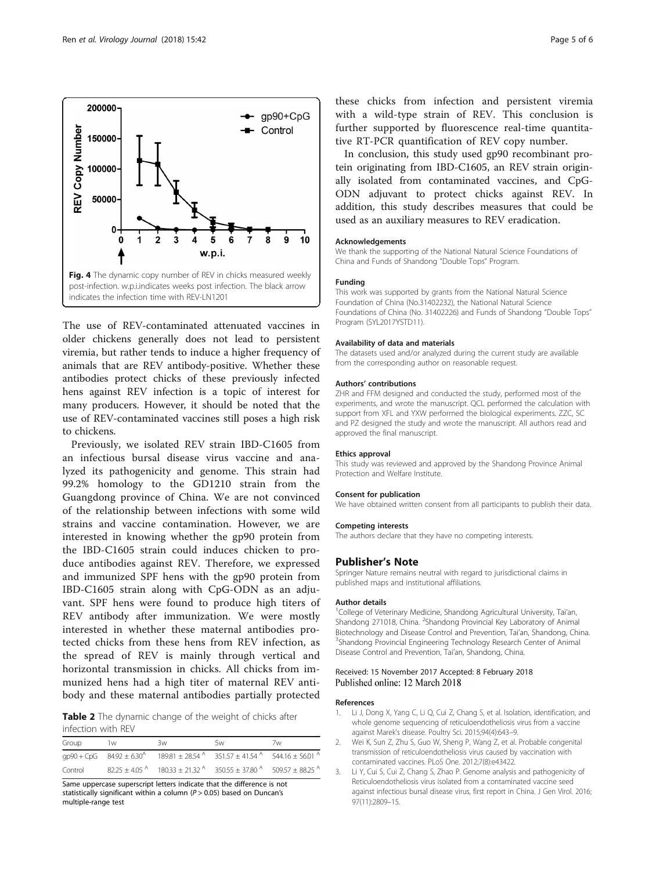<span id="page-4-0"></span>

The use of REV-contaminated attenuated vaccines in older chickens generally does not lead to persistent viremia, but rather tends to induce a higher frequency of animals that are REV antibody-positive. Whether these antibodies protect chicks of these previously infected hens against REV infection is a topic of interest for many producers. However, it should be noted that the use of REV-contaminated vaccines still poses a high risk to chickens.

Previously, we isolated REV strain IBD-C1605 from an infectious bursal disease virus vaccine and analyzed its pathogenicity and genome. This strain had 99.2% homology to the GD1210 strain from the Guangdong province of China. We are not convinced of the relationship between infections with some wild strains and vaccine contamination. However, we are interested in knowing whether the gp90 protein from the IBD-C1605 strain could induces chicken to produce antibodies against REV. Therefore, we expressed and immunized SPF hens with the gp90 protein from IBD-C1605 strain along with CpG-ODN as an adjuvant. SPF hens were found to produce high titers of REV antibody after immunization. We were mostly interested in whether these maternal antibodies protected chicks from these hens from REV infection, as the spread of REV is mainly through vertical and horizontal transmission in chicks. All chicks from immunized hens had a high titer of maternal REV antibody and these maternal antibodies partially protected

Table 2 The dynamic change of the weight of chicks after infection with REV

| Group   | 1w | 3w | 5w                                                                                             | 7w |
|---------|----|----|------------------------------------------------------------------------------------------------|----|
|         |    |    | $qp90 + CpG$ $84.92 \pm 6.30^4$ $189.81 \pm 28.54^4$ $351.57 \pm 41.54^4$ $544.16 \pm 56.01^4$ |    |
| Control |    |    | $82.25 + 4.05^{A}$ $180.33 + 21.32^{A}$ $350.55 + 37.80^{A}$ $509.57 + 88.25^{A}$              |    |

Same uppercase superscript letters indicate that the difference is not statistically significant within a column ( $P > 0.05$ ) based on Duncan's multiple-range test

these chicks from infection and persistent viremia with a wild-type strain of REV. This conclusion is further supported by fluorescence real-time quantitative RT-PCR quantification of REV copy number.

In conclusion, this study used gp90 recombinant protein originating from IBD-C1605, an REV strain originally isolated from contaminated vaccines, and CpG-ODN adjuvant to protect chicks against REV. In addition, this study describes measures that could be used as an auxiliary measures to REV eradication.

#### Acknowledgements

We thank the supporting of the National Natural Science Foundations of China and Funds of Shandong "Double Tops" Program.

#### Funding

This work was supported by grants from the National Natural Science Foundation of China (No.31402232), the National Natural Science Foundations of China (No. 31402226) and Funds of Shandong "Double Tops" Program (SYL2017YSTD11).

#### Availability of data and materials

The datasets used and/or analyzed during the current study are available from the corresponding author on reasonable request.

#### Authors' contributions

ZHR and FFM designed and conducted the study, performed most of the experiments, and wrote the manuscript. QCL performed the calculation with support from XFL and YXW performed the biological experiments. ZZC, SC and PZ designed the study and wrote the manuscript. All authors read and approved the final manuscript.

#### Ethics approval

This study was reviewed and approved by the Shandong Province Animal Protection and Welfare Institute.

#### Consent for publication

We have obtained written consent from all participants to publish their data.

#### Competing interests

The authors declare that they have no competing interests.

## Publisher's Note

Springer Nature remains neutral with regard to jurisdictional claims in published maps and institutional affiliations.

#### Author details

<sup>1</sup>College of Veterinary Medicine, Shandong Agricultural University, Tai'an, Shandong 271018, China. <sup>2</sup>Shandong Provincial Key Laboratory of Animal Biotechnology and Disease Control and Prevention, Tai'an, Shandong, China. <sup>3</sup> <sup>3</sup>Shandong Provincial Engineering Technology Research Center of Animal Disease Control and Prevention, Tai'an, Shandong, China.

## Received: 15 November 2017 Accepted: 8 February 2018 Published online: 12 March 2018

## References

- 1. Li J, Dong X, Yang C, Li Q, Cui Z, Chang S, et al. Isolation, identification, and whole genome sequencing of reticuloendotheliosis virus from a vaccine against Marek's disease. Poultry Sci. 2015;94(4):643–9.
- 2. Wei K, Sun Z, Zhu S, Guo W, Sheng P, Wang Z, et al. Probable congenital transmission of reticuloendotheliosis virus caused by vaccination with contaminated vaccines. PLoS One. 2012;7(8):e43422.
- 3. Li Y, Cui S, Cui Z, Chang S, Zhao P. Genome analysis and pathogenicity of Reticuloendotheliosis virus isolated from a contaminated vaccine seed against infectious bursal disease virus, first report in China. J Gen Virol. 2016; 97(11):2809–15.